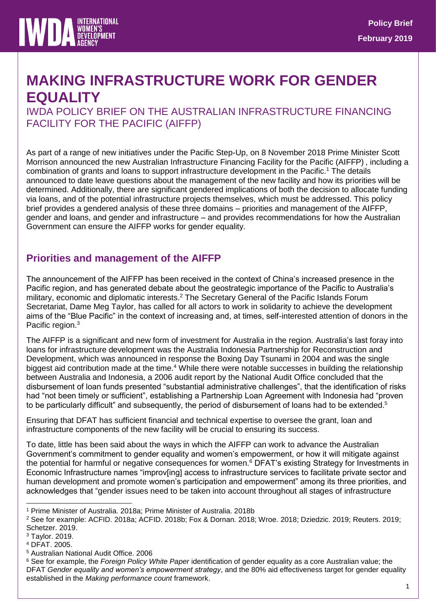

# **MAKING INFRASTRUCTURE WORK FOR GENDER EQUALITY**

IWDA POLICY BRIEF ON THE AUSTRALIAN INFRASTRUCTURE FINANCING FACILITY FOR THE PACIFIC (AIFFP)

As part of a range of new initiatives under the Pacific Step-Up, on 8 November 2018 Prime Minister Scott Morrison announced the new Australian Infrastructure Financing Facility for the Pacific (AIFFP) , including a combination of grants and loans to support infrastructure development in the Pacific.<sup>1</sup> The details announced to date leave questions about the management of the new facility and how its priorities will be determined. Additionally, there are significant gendered implications of both the decision to allocate funding via loans, and of the potential infrastructure projects themselves, which must be addressed. This policy brief provides a gendered analysis of these three domains – priorities and management of the AIFFP, gender and loans, and gender and infrastructure – and provides recommendations for how the Australian Government can ensure the AIFFP works for gender equality.

### **Priorities and management of the AIFFP**

The announcement of the AIFFP has been received in the context of China's increased presence in the Pacific region, and has generated debate about the geostrategic importance of the Pacific to Australia's military, economic and diplomatic interests.<sup>2</sup> The Secretary General of the Pacific Islands Forum Secretariat, Dame Meg Taylor, has called for all actors to work in solidarity to achieve the development aims of the "Blue Pacific" in the context of increasing and, at times, self-interested attention of donors in the Pacific region.<sup>3</sup>

The AIFFP is a significant and new form of investment for Australia in the region. Australia's last foray into loans for infrastructure development was the Australia Indonesia Partnership for Reconstruction and Development, which was announced in response the Boxing Day Tsunami in 2004 and was the single biggest aid contribution made at the time.<sup>4</sup> While there were notable successes in building the relationship between Australia and Indonesia, a 2006 audit report by the National Audit Office concluded that the disbursement of loan funds presented "substantial administrative challenges", that the identification of risks had "not been timely or sufficient", establishing a Partnership Loan Agreement with Indonesia had "proven to be particularly difficult" and subsequently, the period of disbursement of loans had to be extended.<sup>5</sup>

Ensuring that DFAT has sufficient financial and technical expertise to oversee the grant, loan and infrastructure components of the new facility will be crucial to ensuring its success.

To date, little has been said about the ways in which the AIFFP can work to advance the Australian Government's commitment to gender equality and women's empowerment, or how it will mitigate against the potential for harmful or negative consequences for women.<sup>6</sup> DFAT's existing Strategy for Investments in Economic Infrastructure names "improviing] access to infrastructure services to facilitate private sector and human development and promote women's participation and empowerment" among its three priorities, and acknowledges that "gender issues need to be taken into account throughout all stages of infrastructure

<sup>-</sup><sup>1</sup> Prime Minister of Australia. 2018a; Prime Minister of Australia. 2018b

<sup>2</sup> See for example: ACFID. 2018a; ACFID. 2018b; Fox & Dornan. 2018; Wroe. 2018; Dziedzic. 2019; Reuters. 2019; Schetzer. 2019.

<sup>3</sup> Taylor. 2019.

<sup>4</sup> DFAT. 2005.

<sup>5</sup> Australian National Audit Office. 2006

<sup>6</sup> See for example, the *Foreign Policy White Paper* identification of gender equality as a core Australian value; the DFAT *Gender equality and women's empowerment strategy*, and the 80% aid effectiveness target for gender equality established in the *Making performance count* framework.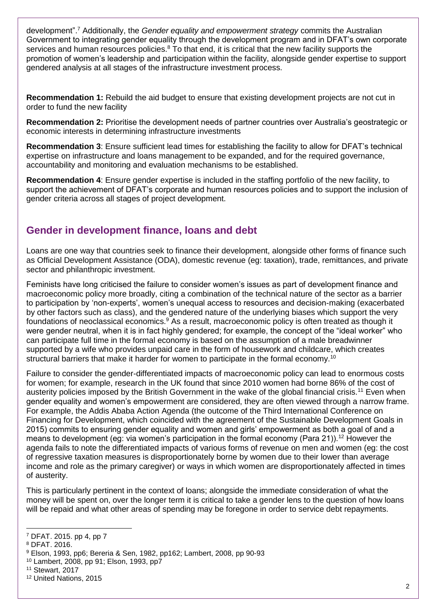development".<sup>7</sup> Additionally, the *Gender equality and empowerment strategy* commits the Australian Government to integrating gender equality through the development program and in DFAT's own corporate services and human resources policies.<sup>8</sup> To that end, it is critical that the new facility supports the promotion of women's leadership and participation within the facility, alongside gender expertise to support gendered analysis at all stages of the infrastructure investment process.

**Recommendation 1:** Rebuild the aid budget to ensure that existing development projects are not cut in order to fund the new facility

**Recommendation 2:** Prioritise the development needs of partner countries over Australia's geostrategic or economic interests in determining infrastructure investments

**Recommendation 3**: Ensure sufficient lead times for establishing the facility to allow for DFAT's technical expertise on infrastructure and loans management to be expanded, and for the required governance, accountability and monitoring and evaluation mechanisms to be established.

**Recommendation 4**: Ensure gender expertise is included in the staffing portfolio of the new facility, to support the achievement of DFAT's corporate and human resources policies and to support the inclusion of gender criteria across all stages of project development.

# **Gender in development finance, loans and debt**

Loans are one way that countries seek to finance their development, alongside other forms of finance such as Official Development Assistance (ODA), domestic revenue (eg: taxation), trade, remittances, and private sector and philanthropic investment.

Feminists have long criticised the failure to consider women's issues as part of development finance and macroeconomic policy more broadly, citing a combination of the technical nature of the sector as a barrier to participation by 'non-experts', women's unequal access to resources and decision-making (exacerbated by other factors such as class), and the gendered nature of the underlying biases which support the very foundations of neoclassical economics.<sup>9</sup> As a result, macroeconomic policy is often treated as though it were gender neutral, when it is in fact highly gendered; for example, the concept of the "ideal worker" who can participate full time in the formal economy is based on the assumption of a male breadwinner supported by a wife who provides unpaid care in the form of housework and childcare, which creates structural barriers that make it harder for women to participate in the formal economy.<sup>10</sup>

Failure to consider the gender-differentiated impacts of macroeconomic policy can lead to enormous costs for women; for example, research in the UK found that since 2010 women had borne 86% of the cost of austerity policies imposed by the British Government in the wake of the global financial crisis.<sup>11</sup> Even when gender equality and women's empowerment are considered, they are often viewed through a narrow frame. For example, the Addis Ababa Action Agenda (the outcome of the Third International Conference on Financing for Development, which coincided with the agreement of the Sustainable Development Goals in 2015) commits to ensuring gender equality and women and girls' empowerment as both a goal of and a means to development (eg: via women's participation in the formal economy (Para 21)).<sup>12</sup> However the agenda fails to note the differentiated impacts of various forms of revenue on men and women (eg: the cost of regressive taxation measures is disproportionately borne by women due to their lower than average income and role as the primary caregiver) or ways in which women are disproportionately affected in times of austerity.

This is particularly pertinent in the context of loans; alongside the immediate consideration of what the money will be spent on, over the longer term it is critical to take a gender lens to the question of how loans will be repaid and what other areas of spending may be foregone in order to service debt repayments.

<sup>7</sup> DFAT. 2015. pp 4, pp 7

<sup>8</sup> DFAT. 2016.

<sup>9</sup> Elson, 1993, pp6; Bereria & Sen, 1982, pp162; Lambert, 2008, pp 90-93

<sup>10</sup> Lambert, 2008, pp 91; Elson, 1993, pp7

<sup>11</sup> Stewart, 2017

<sup>12</sup> United Nations, 2015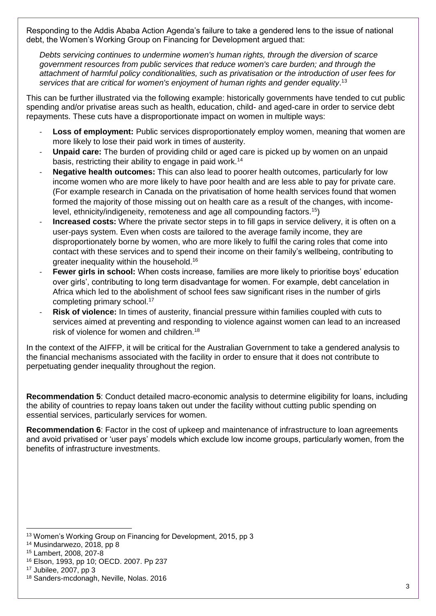Responding to the Addis Ababa Action Agenda's failure to take a gendered lens to the issue of national debt, the Women's Working Group on Financing for Development argued that:

*Debts servicing continues to undermine women's human rights, through the diversion of scarce government resources from public services that reduce women's care burden; and through the attachment of harmful policy conditionalities, such as privatisation or the introduction of user fees for*  services that are critical for women's enjoyment of human rights and gender equality.<sup>13</sup>

This can be further illustrated via the following example: historically governments have tended to cut public spending and/or privatise areas such as health, education, child- and aged-care in order to service debt repayments. These cuts have a disproportionate impact on women in multiple ways:

- Loss of employment: Public services disproportionately employ women, meaning that women are more likely to lose their paid work in times of austerity.
- **Unpaid care:** The burden of providing child or aged care is picked up by women on an unpaid basis, restricting their ability to engage in paid work.<sup>14</sup>
- **Negative health outcomes:** This can also lead to poorer health outcomes, particularly for low income women who are more likely to have poor health and are less able to pay for private care. (For example research in Canada on the privatisation of home health services found that women formed the majority of those missing out on health care as a result of the changes, with incomelevel, ethnicity/indigeneity, remoteness and age all compounding factors.<sup>15</sup>)
- **Increased costs:** Where the private sector steps in to fill gaps in service delivery, it is often on a user-pays system. Even when costs are tailored to the average family income, they are disproportionately borne by women, who are more likely to fulfil the caring roles that come into contact with these services and to spend their income on their family's wellbeing, contributing to greater inequality within the household.<sup>16</sup>
- **Fewer girls in school:** When costs increase, families are more likely to prioritise boys' education over girls', contributing to long term disadvantage for women. For example, debt cancelation in Africa which led to the abolishment of school fees saw significant rises in the number of girls completing primary school.<sup>17</sup>
- **Risk of violence:** In times of austerity, financial pressure within families coupled with cuts to services aimed at preventing and responding to violence against women can lead to an increased risk of violence for women and children.<sup>18</sup>

In the context of the AIFFP, it will be critical for the Australian Government to take a gendered analysis to the financial mechanisms associated with the facility in order to ensure that it does not contribute to perpetuating gender inequality throughout the region.

**Recommendation 5**: Conduct detailed macro-economic analysis to determine eligibility for loans, including the ability of countries to repay loans taken out under the facility without cutting public spending on essential services, particularly services for women.

**Recommendation 6**: Factor in the cost of upkeep and maintenance of infrastructure to loan agreements and avoid privatised or 'user pays' models which exclude low income groups, particularly women, from the benefits of infrastructure investments.

<sup>-</sup><sup>13</sup> Women's Working Group on Financing for Development, 2015, pp 3

<sup>14</sup> Musindarwezo, 2018, pp 8

<sup>15</sup> Lambert, 2008, 207-8

<sup>16</sup> Elson, 1993, pp 10; OECD. 2007. Pp 237

<sup>17</sup> Jubilee, 2007, pp 3

<sup>18</sup> Sanders-mcdonagh, Neville, Nolas. 2016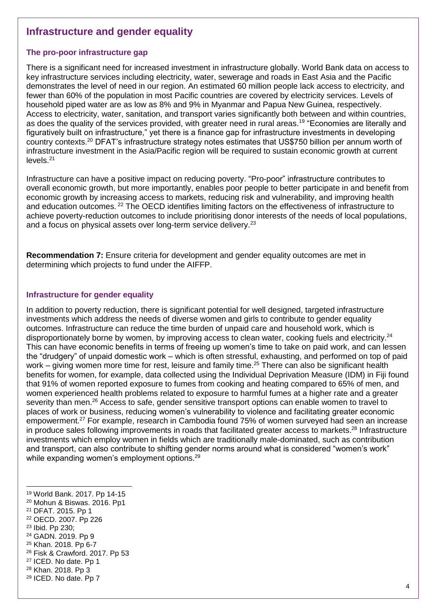### **Infrastructure and gender equality**

#### **The pro-poor infrastructure gap**

There is a significant need for increased investment in infrastructure globally. World Bank data on access to key infrastructure services including electricity, water, sewerage and roads in East Asia and the Pacific demonstrates the level of need in our region. An estimated 60 million people lack access to electricity, and fewer than 60% of the population in most Pacific countries are covered by electricity services. Levels of household piped water are as low as 8% and 9% in Myanmar and Papua New Guinea, respectively. Access to electricity, water, sanitation, and transport varies significantly both between and within countries, as does the quality of the services provided, with greater need in rural areas.<sup>19</sup> "Economies are literally and figuratively built on infrastructure," yet there is a finance gap for infrastructure investments in developing country contexts.<sup>20</sup> DFAT's infrastructure strategy notes estimates that US\$750 billion per annum worth of infrastructure investment in the Asia/Pacific region will be required to sustain economic growth at current levels<sup>21</sup>

Infrastructure can have a positive impact on reducing poverty. "Pro-poor" infrastructure contributes to overall economic growth, but more importantly, enables poor people to better participate in and benefit from economic growth by increasing access to markets, reducing risk and vulnerability, and improving health and education outcomes. <sup>22</sup> The OECD identifies limiting factors on the effectiveness of infrastructure to achieve poverty-reduction outcomes to include prioritising donor interests of the needs of local populations, and a focus on physical assets over long-term service delivery.<sup>23</sup>

**Recommendation 7:** Ensure criteria for development and gender equality outcomes are met in determining which projects to fund under the AIFFP.

#### **Infrastructure for gender equality**

In addition to poverty reduction, there is significant potential for well designed, targeted infrastructure investments which address the needs of diverse women and girls to contribute to gender equality outcomes. Infrastructure can reduce the time burden of unpaid care and household work, which is disproportionately borne by women, by improving access to clean water, cooking fuels and electricity.<sup>24</sup> This can have economic benefits in terms of freeing up women's time to take on paid work, and can lessen the "drudgery" of unpaid domestic work – which is often stressful, exhausting, and performed on top of paid work – giving women more time for rest, leisure and family time.<sup>25</sup> There can also be significant health benefits for women, for example, data collected using the Individual Deprivation Measure (IDM) in Fiji found that 91% of women reported exposure to fumes from cooking and heating compared to 65% of men, and women experienced health problems related to exposure to harmful fumes at a higher rate and a greater severity than men.<sup>26</sup> Access to safe, gender sensitive transport options can enable women to travel to places of work or business, reducing women's vulnerability to violence and facilitating greater economic empowerment.<sup>27</sup> For example, research in Cambodia found 75% of women surveyed had seen an increase in produce sales following improvements in roads that facilitated greater access to markets.<sup>28</sup> Infrastructure investments which employ women in fields which are traditionally male-dominated, such as contribution and transport, can also contribute to shifting gender norms around what is considered "women's work" while expanding women's employment options.<sup>29</sup>

-

<sup>25</sup> Khan. 2018. Pp 6-7

<sup>27</sup> ICED. No date. Pp 1

<sup>29</sup> ICED. No date. Pp 7

<sup>19</sup> World Bank. 2017. Pp 14-15

<sup>20</sup> Mohun & Biswas. 2016. Pp1

<sup>21</sup> DFAT. 2015. Pp 1

<sup>22</sup> OECD. 2007. Pp 226

<sup>23</sup> Ibid. Pp 230;

<sup>24</sup> GADN. 2019. Pp 9

<sup>26</sup> Fisk & Crawford. 2017. Pp 53

<sup>28</sup> Khan. 2018. Pp 3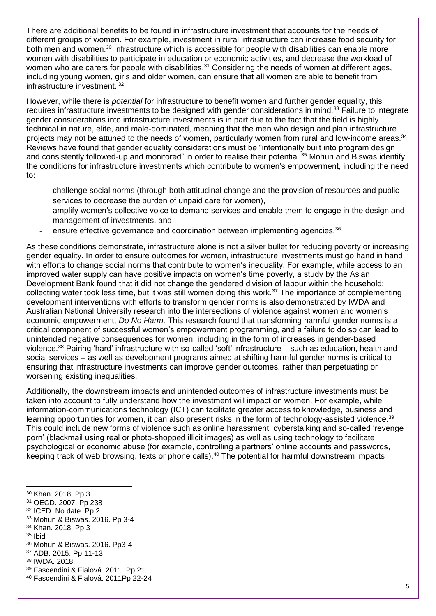There are additional benefits to be found in infrastructure investment that accounts for the needs of different groups of women. For example, investment in rural infrastructure can increase food security for both men and women.<sup>30</sup> Infrastructure which is accessible for people with disabilities can enable more women with disabilities to participate in education or economic activities, and decrease the workload of women who are carers for people with disabilities.<sup>31</sup> Considering the needs of women at different ages, including young women, girls and older women, can ensure that all women are able to benefit from infrastructure investment. <sup>32</sup>

However, while there is *potential* for infrastructure to benefit women and further gender equality, this requires infrastructure investments to be designed with gender considerations in mind.<sup>33</sup> Failure to integrate gender considerations into infrastructure investments is in part due to the fact that the field is highly technical in nature, elite, and male-dominated, meaning that the men who design and plan infrastructure projects may not be attuned to the needs of women, particularly women from rural and low-income areas.<sup>34</sup> Reviews have found that gender equality considerations must be "intentionally built into program design and consistently followed-up and monitored" in order to realise their potential.<sup>35</sup> Mohun and Biswas identify the conditions for infrastructure investments which contribute to women's empowerment, including the need to:

- challenge social norms (through both attitudinal change and the provision of resources and public services to decrease the burden of unpaid care for women),
- amplify women's collective voice to demand services and enable them to engage in the design and management of investments, and
- ensure effective governance and coordination between implementing agencies.<sup>36</sup>

As these conditions demonstrate, infrastructure alone is not a silver bullet for reducing poverty or increasing gender equality. In order to ensure outcomes for women, infrastructure investments must go hand in hand with efforts to change social norms that contribute to women's inequality. For example, while access to an improved water supply can have positive impacts on women's time poverty, a study by the Asian Development Bank found that it did not change the gendered division of labour within the household; collecting water took less time, but it was still women doing this work.<sup>37</sup> The importance of complementing development interventions with efforts to transform gender norms is also demonstrated by IWDA and Australian National University research into the intersections of violence against women and women's economic empowerment, *Do No Harm.* This research found that transforming harmful gender norms is a critical component of successful women's empowerment programming, and a failure to do so can lead to unintended negative consequences for women, including in the form of increases in gender-based violence.<sup>38</sup> Pairing 'hard' infrastructure with so-called 'soft' infrastructure – such as education, health and social services – as well as development programs aimed at shifting harmful gender norms is critical to ensuring that infrastructure investments can improve gender outcomes, rather than perpetuating or worsening existing inequalities.

Additionally, the downstream impacts and unintended outcomes of infrastructure investments must be taken into account to fully understand how the investment will impact on women. For example, while information-communications technology (ICT) can facilitate greater access to knowledge, business and learning opportunities for women, it can also present risks in the form of technology-assisted violence.<sup>39</sup> This could include new forms of violence such as online harassment, cyberstalking and so-called 'revenge porn' (blackmail using real or photo-shopped illicit images) as well as using technology to facilitate psychological or economic abuse (for example, controlling a partners' online accounts and passwords, keeping track of web browsing, texts or phone calls).<sup>40</sup> The potential for harmful downstream impacts

- <sup>31</sup> OECD. 2007. Pp 238
- <sup>32</sup> ICED. No date. Pp 2
- <sup>33</sup> Mohun & Biswas. 2016. Pp 3-4
- <sup>34</sup> Khan. 2018. Pp 3
- <sup>35</sup> Ibid

- <sup>36</sup> Mohun & Biswas. 2016. Pp3-4
- <sup>37</sup> ADB. 2015. Pp 11-13
- <sup>38</sup> IWDA. 2018.
- <sup>39</sup> Fascendini & Fialová. 2011. Pp 21
- <sup>40</sup> Fascendini & Fialová. 2011Pp 22-24

<sup>30</sup> Khan. 2018. Pp 3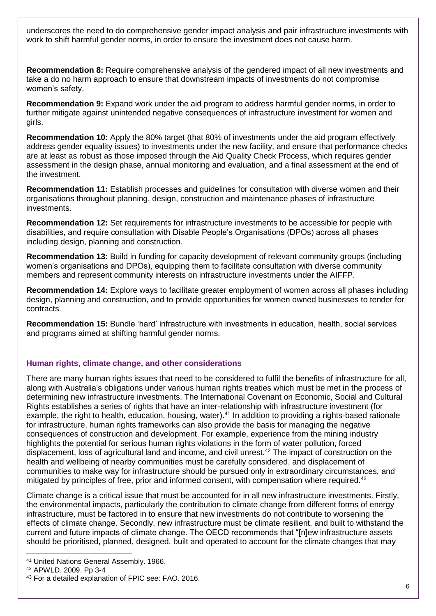underscores the need to do comprehensive gender impact analysis and pair infrastructure investments with work to shift harmful gender norms, in order to ensure the investment does not cause harm.

**Recommendation 8:** Require comprehensive analysis of the gendered impact of all new investments and take a do no harm approach to ensure that downstream impacts of investments do not compromise women's safety.

**Recommendation 9:** Expand work under the aid program to address harmful gender norms, in order to further mitigate against unintended negative consequences of infrastructure investment for women and girls.

**Recommendation 10:** Apply the 80% target (that 80% of investments under the aid program effectively address gender equality issues) to investments under the new facility, and ensure that performance checks are at least as robust as those imposed through the Aid Quality Check Process, which requires gender assessment in the design phase, annual monitoring and evaluation, and a final assessment at the end of the investment.

**Recommendation 11:** Establish processes and guidelines for consultation with diverse women and their organisations throughout planning, design, construction and maintenance phases of infrastructure investments.

**Recommendation 12:** Set requirements for infrastructure investments to be accessible for people with disabilities, and require consultation with Disable People's Organisations (DPOs) across all phases including design, planning and construction.

**Recommendation 13:** Build in funding for capacity development of relevant community groups (including women's organisations and DPOs), equipping them to facilitate consultation with diverse community members and represent community interests on infrastructure investments under the AIFFP.

**Recommendation 14:** Explore ways to facilitate greater employment of women across all phases including design, planning and construction, and to provide opportunities for women owned businesses to tender for contracts.

**Recommendation 15:** Bundle 'hard' infrastructure with investments in education, health, social services and programs aimed at shifting harmful gender norms.

### **Human rights, climate change, and other considerations**

There are many human rights issues that need to be considered to fulfil the benefits of infrastructure for all, along with Australia's obligations under various human rights treaties which must be met in the process of determining new infrastructure investments. The International Covenant on Economic, Social and Cultural Rights establishes a series of rights that have an inter-relationship with infrastructure investment (for example, the right to health, education, housing, water).<sup>41</sup> In addition to providing a rights-based rationale for infrastructure, human rights frameworks can also provide the basis for managing the negative consequences of construction and development. For example, experience from the mining industry highlights the potential for serious human rights violations in the form of water pollution, forced displacement, loss of agricultural land and income, and civil unrest.<sup>42</sup> The impact of construction on the health and wellbeing of nearby communities must be carefully considered, and displacement of communities to make way for infrastructure should be pursued only in extraordinary circumstances, and mitigated by principles of free, prior and informed consent, with compensation where required.<sup>43</sup>

Climate change is a critical issue that must be accounted for in all new infrastructure investments. Firstly, the environmental impacts, particularly the contribution to climate change from different forms of energy infrastructure, must be factored in to ensure that new investments do not contribute to worsening the effects of climate change. Secondly, new infrastructure must be climate resilient, and built to withstand the current and future impacts of climate change. The OECD recommends that "[n]ew infrastructure assets should be prioritised, planned, designed, built and operated to account for the climate changes that may

<sup>41</sup> United Nations General Assembly. 1966.

<sup>42</sup> APWLD. 2009. Pp 3-4

<sup>43</sup> For a detailed explanation of FPIC see: FAO. 2016.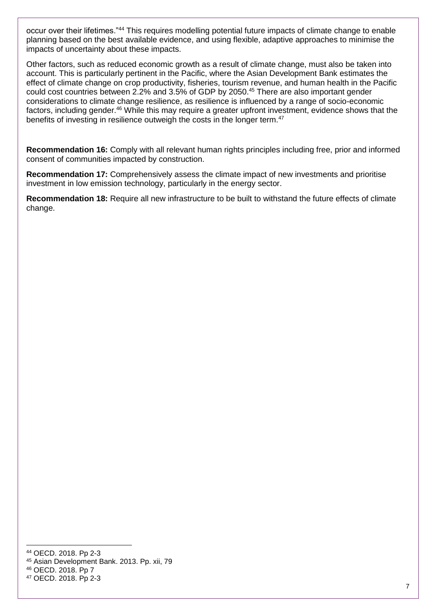occur over their lifetimes."<sup>44</sup> This requires modelling potential future impacts of climate change to enable planning based on the best available evidence, and using flexible, adaptive approaches to minimise the impacts of uncertainty about these impacts.

Other factors, such as reduced economic growth as a result of climate change, must also be taken into account. This is particularly pertinent in the Pacific, where the Asian Development Bank estimates the effect of climate change on crop productivity, fisheries, tourism revenue, and human health in the Pacific could cost countries between 2.2% and 3.5% of GDP by 2050.<sup>45</sup> There are also important gender considerations to climate change resilience, as resilience is influenced by a range of socio-economic factors, including gender.<sup>46</sup> While this may require a greater upfront investment, evidence shows that the benefits of investing in resilience outweigh the costs in the longer term.<sup>47</sup>

**Recommendation 16:** Comply with all relevant human rights principles including free, prior and informed consent of communities impacted by construction.

**Recommendation 17:** Comprehensively assess the climate impact of new investments and prioritise investment in low emission technology, particularly in the energy sector.

**Recommendation 18:** Require all new infrastructure to be built to withstand the future effects of climate change.

<sup>44</sup> OECD. 2018. Pp 2-3

<sup>45</sup> Asian Development Bank. 2013. Pp. xii, 79

<sup>46</sup> OECD. 2018. Pp 7

<sup>47</sup> OECD. 2018. Pp 2-3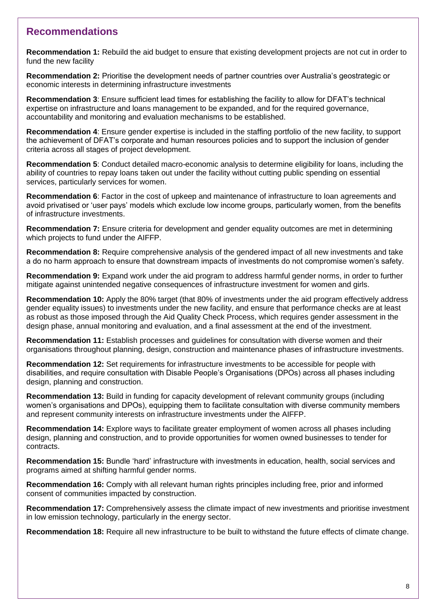### **Recommendations**

**Recommendation 1:** Rebuild the aid budget to ensure that existing development projects are not cut in order to fund the new facility

**Recommendation 2:** Prioritise the development needs of partner countries over Australia's geostrategic or economic interests in determining infrastructure investments

**Recommendation 3**: Ensure sufficient lead times for establishing the facility to allow for DFAT's technical expertise on infrastructure and loans management to be expanded, and for the required governance, accountability and monitoring and evaluation mechanisms to be established.

**Recommendation 4**: Ensure gender expertise is included in the staffing portfolio of the new facility, to support the achievement of DFAT's corporate and human resources policies and to support the inclusion of gender criteria across all stages of project development.

**Recommendation 5**: Conduct detailed macro-economic analysis to determine eligibility for loans, including the ability of countries to repay loans taken out under the facility without cutting public spending on essential services, particularly services for women.

**Recommendation 6**: Factor in the cost of upkeep and maintenance of infrastructure to loan agreements and avoid privatised or 'user pays' models which exclude low income groups, particularly women, from the benefits of infrastructure investments.

**Recommendation 7:** Ensure criteria for development and gender equality outcomes are met in determining which projects to fund under the AIFFP.

**Recommendation 8:** Require comprehensive analysis of the gendered impact of all new investments and take a do no harm approach to ensure that downstream impacts of investments do not compromise women's safety.

**Recommendation 9:** Expand work under the aid program to address harmful gender norms, in order to further mitigate against unintended negative consequences of infrastructure investment for women and girls.

**Recommendation 10:** Apply the 80% target (that 80% of investments under the aid program effectively address gender equality issues) to investments under the new facility, and ensure that performance checks are at least as robust as those imposed through the Aid Quality Check Process, which requires gender assessment in the design phase, annual monitoring and evaluation, and a final assessment at the end of the investment.

**Recommendation 11:** Establish processes and guidelines for consultation with diverse women and their organisations throughout planning, design, construction and maintenance phases of infrastructure investments.

**Recommendation 12:** Set requirements for infrastructure investments to be accessible for people with disabilities, and require consultation with Disable People's Organisations (DPOs) across all phases including design, planning and construction.

**Recommendation 13:** Build in funding for capacity development of relevant community groups (including women's organisations and DPOs), equipping them to facilitate consultation with diverse community members and represent community interests on infrastructure investments under the AIFFP.

**Recommendation 14:** Explore ways to facilitate greater employment of women across all phases including design, planning and construction, and to provide opportunities for women owned businesses to tender for contracts.

**Recommendation 15:** Bundle 'hard' infrastructure with investments in education, health, social services and programs aimed at shifting harmful gender norms.

**Recommendation 16:** Comply with all relevant human rights principles including free, prior and informed consent of communities impacted by construction.

**Recommendation 17:** Comprehensively assess the climate impact of new investments and prioritise investment in low emission technology, particularly in the energy sector.

**Recommendation 18:** Require all new infrastructure to be built to withstand the future effects of climate change.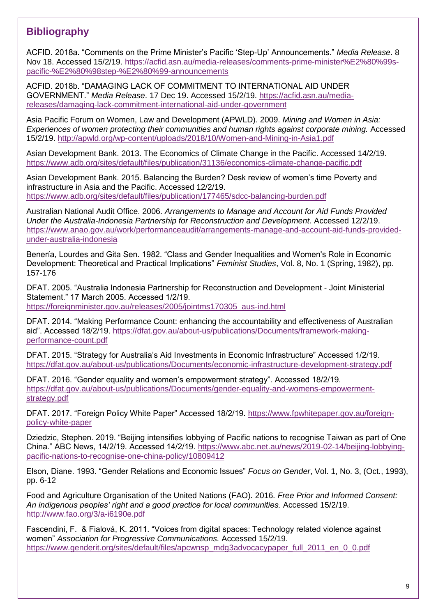# **Bibliography**

ACFID. 2018a. "Comments on the Prime Minister's Pacific 'Step-Up' Announcements." *Media Release*. 8 Nov 18. Accessed 15/2/19. [https://acfid.asn.au/media-releases/comments-prime-minister%E2%80%99s](https://acfid.asn.au/media-releases/comments-prime-minister%E2%80%99s-pacific-%E2%80%98step-%E2%80%99-announcements)[pacific-%E2%80%98step-%E2%80%99-announcements](https://acfid.asn.au/media-releases/comments-prime-minister%E2%80%99s-pacific-%E2%80%98step-%E2%80%99-announcements)

ACFID. 2018b. "DAMAGING LACK OF COMMITMENT TO INTERNATIONAL AID UNDER GOVERNMENT." *Media Release*. 17 Dec 19. Accessed 15/2/19. [https://acfid.asn.au/media](https://acfid.asn.au/media-releases/damaging-lack-commitment-international-aid-under-government)[releases/damaging-lack-commitment-international-aid-under-government](https://acfid.asn.au/media-releases/damaging-lack-commitment-international-aid-under-government)

Asia Pacific Forum on Women, Law and Development (APWLD). 2009. *Mining and Women in Asia: Experiences of women protecting their communities and human rights against corporate mining.* Accessed 15/2/19.<http://apwld.org/wp-content/uploads/2018/10/Women-and-Mining-in-Asia1.pdf>

Asian Development Bank. 2013. The Economics of Climate Change in the Pacific. Accessed 14/2/19. <https://www.adb.org/sites/default/files/publication/31136/economics-climate-change-pacific.pdf>

Asian Development Bank. 2015. Balancing the Burden? Desk review of women's time Poverty and infrastructure in Asia and the Pacific. Accessed 12/2/19. <https://www.adb.org/sites/default/files/publication/177465/sdcc-balancing-burden.pdf>

Australian National Audit Office. 2006. *Arrangements to Manage and Account for Aid Funds Provided Under the Australia-Indonesia Partnership for Reconstruction and Development*. Accessed 12/2/19. [https://www.anao.gov.au/work/performanceaudit/arrangements-manage-and-account-aid-funds-provided](https://www.anao.gov.au/work/performanceaudit/arrangements-manage-and-account-aid-funds-provided-under-australia-indonesia)[under-australia-indonesia](https://www.anao.gov.au/work/performanceaudit/arrangements-manage-and-account-aid-funds-provided-under-australia-indonesia)

Benería, Lourdes and Gita Sen. 1982. "Class and Gender Inequalities and Women's Role in Economic Development: Theoretical and Practical Implications" *Feminist Studies*, Vol. 8, No. 1 (Spring, 1982), pp. 157-176

DFAT. 2005. "Australia Indonesia Partnership for Reconstruction and Development - Joint Ministerial Statement." 17 March 2005. Accessed 1/2/19. [https://foreignminister.gov.au/releases/2005/jointms170305\\_aus-ind.html](https://foreignminister.gov.au/releases/2005/jointms170305_aus-ind.html)

DFAT. 2014. "Making Performance Count: enhancing the accountability and effectiveness of Australian aid". Accessed 18/2/19. [https://dfat.gov.au/about-us/publications/Documents/framework-making](https://dfat.gov.au/about-us/publications/Documents/framework-making-performance-count.pdf)[performance-count.pdf](https://dfat.gov.au/about-us/publications/Documents/framework-making-performance-count.pdf)

DFAT. 2015. "Strategy for Australia's Aid Investments in Economic Infrastructure" Accessed 1/2/19. <https://dfat.gov.au/about-us/publications/Documents/economic-infrastructure-development-strategy.pdf>

DFAT. 2016. "Gender equality and women's empowerment strategy". Accessed 18/2/19. [https://dfat.gov.au/about-us/publications/Documents/gender-equality-and-womens-empowerment](https://dfat.gov.au/about-us/publications/Documents/gender-equality-and-womens-empowerment-strategy.pdf)[strategy.pdf](https://dfat.gov.au/about-us/publications/Documents/gender-equality-and-womens-empowerment-strategy.pdf)

DFAT. 2017. "Foreign Policy White Paper" Accessed 18/2/19. [https://www.fpwhitepaper.gov.au/foreign](https://www.fpwhitepaper.gov.au/foreign-policy-white-paper)[policy-white-paper](https://www.fpwhitepaper.gov.au/foreign-policy-white-paper)

Dziedzic, Stephen. 2019. "Beijing intensifies lobbying of Pacific nations to recognise Taiwan as part of One China." ABC News, 14/2/19. Accessed 14/2/19. [https://www.abc.net.au/news/2019-02-14/beijing-lobbying](https://www.abc.net.au/news/2019-02-14/beijing-lobbying-pacific-nations-to-recognise-one-china-policy/10809412)[pacific-nations-to-recognise-one-china-policy/10809412](https://www.abc.net.au/news/2019-02-14/beijing-lobbying-pacific-nations-to-recognise-one-china-policy/10809412)

Elson, Diane. 1993. "Gender Relations and Economic Issues" *Focus on Gender*, Vol. 1, No. 3, (Oct., 1993), pp. 6-12

Food and Agriculture Organisation of the United Nations (FAO). 2016. *Free Prior and Informed Consent: An indigenous peoples' right and a good practice for local communities.* Accessed 15/2/19. <http://www.fao.org/3/a-i6190e.pdf>

Fascendini, F. & Fialová, K. 2011. "Voices from digital spaces: Technology related violence against women" *Association for Progressive Communications.* Accessed 15/2/19. [https://www.genderit.org/sites/default/files/apcwnsp\\_mdg3advocacypaper\\_full\\_2011\\_en\\_0\\_0.pdf](https://www.genderit.org/sites/default/files/apcwnsp_mdg3advocacypaper_full_2011_en_0_0.pdf)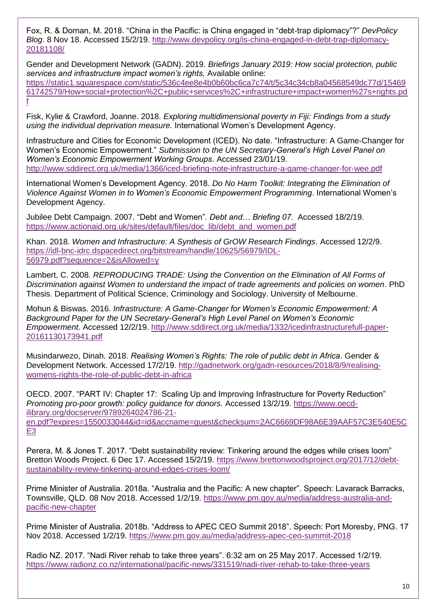Fox, R. & Dornan, M. 2018. "China in the Pacific: is China engaged in "debt-trap diplomacy"?" *DevPolicy Blog*. 8 Nov 18. Accessed 15/2/19. [http://www.devpolicy.org/is-china-engaged-in-debt-trap-diplomacy-](http://www.devpolicy.org/is-china-engaged-in-debt-trap-diplomacy-20181108/)[20181108/](http://www.devpolicy.org/is-china-engaged-in-debt-trap-diplomacy-20181108/)

Gender and Development Network (GADN). 2019. *Briefings January 2019: How social protection, public services and infrastructure impact women's rights,* Available online: [https://static1.squarespace.com/static/536c4ee8e4b0b60bc6ca7c74/t/5c34c34cb8a04568549dc77d/15469](https://static1.squarespace.com/static/536c4ee8e4b0b60bc6ca7c74/t/5c34c34cb8a04568549dc77d/1546961742579/How+social+protection%2C+public+services%2C+infrastructure+impact+women%27s+rights.pdf) [61742579/How+social+protection%2C+public+services%2C+infrastructure+impact+women%27s+rights.pd](https://static1.squarespace.com/static/536c4ee8e4b0b60bc6ca7c74/t/5c34c34cb8a04568549dc77d/1546961742579/How+social+protection%2C+public+services%2C+infrastructure+impact+women%27s+rights.pdf) [f](https://static1.squarespace.com/static/536c4ee8e4b0b60bc6ca7c74/t/5c34c34cb8a04568549dc77d/1546961742579/How+social+protection%2C+public+services%2C+infrastructure+impact+women%27s+rights.pdf)

Fisk, Kylie & Crawford, Joanne. 2018. *Exploring multidimensional poverty in Fiji: Findings from a study using the individual deprivation measure.* International Women's Development Agency.

Infrastructure and Cities for Economic Development (ICED). No date. "Infrastructure: A Game-Changer for Women's Economic Empowerment." *Submission to the UN Secretary-General's High Level Panel on Women's Economic Empowerment Working Groups*. Accessed 23/01/19. <http://www.sddirect.org.uk/media/1366/iced-briefing-note-infrastructure-a-game-changer-for-wee.pdf>

International Women's Development Agency. 2018. *Do No Harm Toolkit: Integrating the Elimination of Violence Against Women in to Women's Economic Empowerment Programming*. International Women's Development Agency.

Jubilee Debt Campaign. 2007. "Debt and Women"*. Debt and… Briefing 07.* Accessed 18/2/19. [https://www.actionaid.org.uk/sites/default/files/doc\\_lib/debt\\_and\\_women.pdf](https://www.actionaid.org.uk/sites/default/files/doc_lib/debt_and_women.pdf)

Khan. 2018. *Women and Infrastructure: A Synthesis of GrOW Research Findings*. Accessed 12/2/9. [https://idl-bnc-idrc.dspacedirect.org/bitstream/handle/10625/56979/IDL-](https://idl-bnc-idrc.dspacedirect.org/bitstream/handle/10625/56979/IDL-56979.pdf?sequence=2&isAllowed=y)[56979.pdf?sequence=2&isAllowed=y](https://idl-bnc-idrc.dspacedirect.org/bitstream/handle/10625/56979/IDL-56979.pdf?sequence=2&isAllowed=y)

Lambert, C. 2008. *REPRODUCING TRADE: Using the Convention on the Elimination of All Forms of Discrimination against Women to understand the impact of trade agreements and policies on women*. PhD Thesis. Department of Political Science, Criminology and Sociology. University of Melbourne.

Mohun & Biswas. 2016. *Infrastructure: A Game-Changer for Women's Economic Empowerment: A Background Paper for the UN Secretary-General's High Level Panel on Women's Economic Empowerment*. Accessed 12/2/19. [http://www.sddirect.org.uk/media/1332/icedinfrastructurefull-paper-](http://www.sddirect.org.uk/media/1332/icedinfrastructurefull-paper-20161130173941.pdf)[20161130173941.pdf](http://www.sddirect.org.uk/media/1332/icedinfrastructurefull-paper-20161130173941.pdf)

Musindarwezo, Dinah. 2018. *Realising Women's Rights: The role of public debt in Africa*. Gender & Development Network. Accessed 17/2/19. [http://gadnetwork.org/gadn-resources/2018/8/9/realising](http://gadnetwork.org/gadn-resources/2018/8/9/realising-womens-rights-the-role-of-public-debt-in-africa)[womens-rights-the-role-of-public-debt-in-africa](http://gadnetwork.org/gadn-resources/2018/8/9/realising-womens-rights-the-role-of-public-debt-in-africa)

OECD. 2007. "PART IV: Chapter 17: Scaling Up and Improving Infrastructure for Poverty Reduction" *Promoting pro-poor growth: policy guidance for donors.* Accessed 13/2/19. [https://www.oecd](https://www.oecd-ilibrary.org/docserver/9789264024786-21-en.pdf?expires=1550033044&id=id&accname=guest&checksum=2AC6669DF98A6E39AAF57C3E540E5CE3)[ilibrary.org/docserver/9789264024786-21-](https://www.oecd-ilibrary.org/docserver/9789264024786-21-en.pdf?expires=1550033044&id=id&accname=guest&checksum=2AC6669DF98A6E39AAF57C3E540E5CE3)

[en.pdf?expires=1550033044&id=id&accname=guest&checksum=2AC6669DF98A6E39AAF57C3E540E5C](https://www.oecd-ilibrary.org/docserver/9789264024786-21-en.pdf?expires=1550033044&id=id&accname=guest&checksum=2AC6669DF98A6E39AAF57C3E540E5CE3) [E3](https://www.oecd-ilibrary.org/docserver/9789264024786-21-en.pdf?expires=1550033044&id=id&accname=guest&checksum=2AC6669DF98A6E39AAF57C3E540E5CE3)

Perera, M. & Jones T. 2017. "Debt sustainability review: Tinkering around the edges while crises loom" Bretton Woods Project. 6 Dec 17. Accessed 15/2/19. [https://www.brettonwoodsproject.org/2017/12/debt](https://www.brettonwoodsproject.org/2017/12/debt-sustainability-review-tinkering-around-edges-crises-loom/)[sustainability-review-tinkering-around-edges-crises-loom/](https://www.brettonwoodsproject.org/2017/12/debt-sustainability-review-tinkering-around-edges-crises-loom/)

Prime Minister of Australia. 2018a. "Australia and the Pacific: A new chapter". Speech: Lavarack Barracks, Townsville, QLD. 08 Nov 2018. Accessed 1/2/19. [https://www.pm.gov.au/media/address-australia-and](https://www.pm.gov.au/media/address-australia-and-pacific-new-chapter)[pacific-new-chapter](https://www.pm.gov.au/media/address-australia-and-pacific-new-chapter)

Prime Minister of Australia. 2018b. "Address to APEC CEO Summit 2018". Speech: Port Moresby, PNG. 17 Nov 2018. Accessed 1/2/19.<https://www.pm.gov.au/media/address-apec-ceo-summit-2018>

Radio NZ. 2017. "Nadi River rehab to take three years". 6:32 am on 25 May 2017. Accessed 1/2/19. <https://www.radionz.co.nz/international/pacific-news/331519/nadi-river-rehab-to-take-three-years>